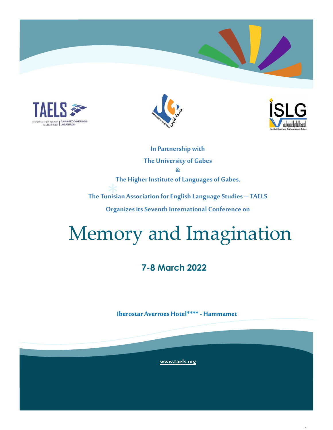





**In Partnership with The University of Gabes & The Higher Institute of Languages of Gabes,**

\*<br>nisia **The Tunisian Association for English Language Studies – TAELS Organizes its Seventh International Conference on**

# Memory and Imagination

# **7-8 March 2022**

**Iberostar Averroes Hotel\*\*\*\* - Hammamet**

**[www.taels.org](http://www.taels.org)**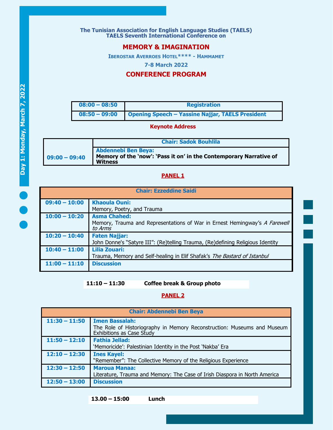**The Tunisian Association for English Language Studies (TAELS) TAELS Seventh International Conference on**

## **MEMORY & IMAGINATION**

**IBEROSTAR AVERROES HOTEL\*\*\*\* - HAMMAMET**

**7-8 March 2022**

## **CONFERENCE PROGRAM**

| $08:00 - 08:50$ | <b>Registration</b>                                     |
|-----------------|---------------------------------------------------------|
| $08:50 - 09:00$ | <b>Opening Speech - Yassine Najjar, TAELS President</b> |

#### **Keynote Address**

|                 | <b>Chair: Sadok Bouhlila</b>                                                                                       |
|-----------------|--------------------------------------------------------------------------------------------------------------------|
| $09:00 - 09:40$ | <b>Abdennebi Ben Beya:</b><br>Memory of the 'now': 'Pass it on' in the Contemporary Narrative of<br><b>Witness</b> |

#### **PANEL 1**

| <b>Chair: Ezzeddine Saidi</b> |                                                                                       |
|-------------------------------|---------------------------------------------------------------------------------------|
| $09:40 - 10:00$               | <b>Khaoula Ouni:</b>                                                                  |
|                               | Memory, Poetry, and Trauma                                                            |
| $10:00 - 10:20$               | <b>Asma Chahed:</b>                                                                   |
|                               | Memory, Trauma and Representations of War in Ernest Hemingway's A Farewell<br>to Arms |
| $10:20 - 10:40$               | <b>Faten Najjar:</b>                                                                  |
|                               | John Donne's "Satyre III": (Re)telling Trauma, (Re)defining Religious Identity        |
| $10:40 - 11:00$               | <b>Lilia Zouari:</b>                                                                  |
|                               | Trauma, Memory and Self-healing in Elif Shafak's The Bastard of Istanbul              |
| $11:00 - 11:10$               | <b>Discussion</b>                                                                     |
|                               |                                                                                       |

**11:10 – 11:30 Coffee break & Group photo**

#### **PANEL 2**

| <b>Chair: Abdennebi Ben Beya</b> |                                                                                                                               |
|----------------------------------|-------------------------------------------------------------------------------------------------------------------------------|
| $11:30 - 11:50$                  | <b>Imen Bassalah:</b><br>The Role of Historiography in Memory Reconstruction: Museums and Museum<br>Exhibitions as Case Study |
| $11:50 - 12:10$                  | <b>Fathia Jellad:</b><br>'Memoricide': Palestinian Identity in the Post 'Nakba' Era                                           |
| $12:10 - 12:30$                  | <b>Ines Kayel:</b><br>"Remember": The Collective Memory of the Religious Experience                                           |
| $12:30 - 12:50$                  | <b>Maroua Manaa:</b><br>Literature, Trauma and Memory: The Case of Irish Diaspora in North America                            |
| $12:50 - 13:00$                  | <b>Discussion</b>                                                                                                             |

**13.00 – 15:00 Lunch**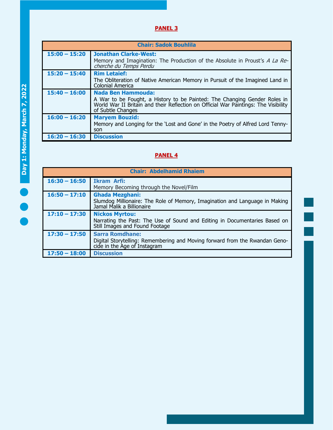# **PANEL 3**

| <b>Chair: Sadok Bouhlila</b> |                                                                                                                                                                                                                    |
|------------------------------|--------------------------------------------------------------------------------------------------------------------------------------------------------------------------------------------------------------------|
| $15:00 - 15:20$              | <b>Jonathan Clarke-West:</b><br>Memory and Imagination: The Production of the Absolute in Proust's A La Re-<br>cherche du Temps Perdu                                                                              |
| $15:20 - 15:40$              | <b>Rim Letaief:</b><br>The Obliteration of Native American Memory in Pursuit of the Imagined Land in<br><b>Colonial America</b>                                                                                    |
| $15:40 - 16:00$              | <b>Nada Ben Hammouda:</b><br>A War to be Fought, a History to be Painted: The Changing Gender Roles in<br>World War II Britain and their Reflection on Official War Paintings: The Visibility<br>of Subtle Changes |
| $16:00 - 16:20$              | <b>Maryem Bouzid:</b><br>Memory and Longing for the 'Lost and Gone' in the Poetry of Alfred Lord Tenny-<br>son                                                                                                     |
| $16:20 - 16:30$              | <b>Discussion</b>                                                                                                                                                                                                  |

# **PANEL 4**

| <b>Chair: Abdelhamid Rhaiem</b> |                                                                                                                                       |
|---------------------------------|---------------------------------------------------------------------------------------------------------------------------------------|
| $16:30 - 16:50$                 | <b>Ikram Arfi:</b><br>Memory Becoming through the Novel/Film                                                                          |
| $16:50 - 17:10$                 | <b>Ghada Mezghani:</b><br>Slumdog Millionaire: The Role of Memory, Imagination and Language in Making<br>Jamal Malik a Billionaire    |
| $17:10 - 17:30$                 | <b>Nickos Myrtou:</b><br>Narrating the Past: The Use of Sound and Editing in Documentaries Based on<br>Still Images and Found Footage |
| $17:30 - 17:50$                 | <b>Sarra Romdhane:</b><br>Digital Storytelling: Remembering and Moving forward from the Rwandan Geno-<br>cide in the Age of Instagram |
| $17:50 - 18:00$                 | <b>Discussion</b>                                                                                                                     |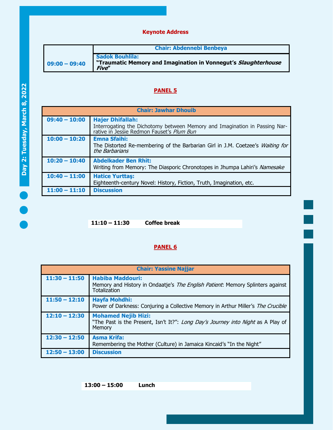## **Keynote Address**

|                 | <b>Chair: Abdennebi Benbeya</b>                                                                          |
|-----------------|----------------------------------------------------------------------------------------------------------|
| $09:00 - 09:40$ | <b>Sadok Bouhlila:</b><br>"Traumatic Memory and Imagination in Vonnegut's Slaughterhouse<br><b>Five"</b> |

# **PANEL 5**

| <b>Chair: Jawhar Dhouib</b> |                                                                                                                                                    |
|-----------------------------|----------------------------------------------------------------------------------------------------------------------------------------------------|
| $09:40 - 10:00$             | <b>Hajer Dhifallah:</b><br>Interrogating the Dichotomy between Memory and Imagination in Passing Nar-<br>rative in Jessie Redmon Fauset's Plum Bun |
| $10:00 - 10:20$             | <b>Emna Sfaihi:</b><br>The Distorted Re-membering of the Barbarian Girl in J.M. Coetzee's Waiting for<br>the Barbarians                            |
| $10:20 - 10:40$             | <b>Abdelkader Ben Rhit:</b><br>Writing from Memory: The Diasporic Chronotopes in Jhumpa Lahiri's Namesake                                          |
| $10:40 - 11:00$             | <b>Hatice Yurttas:</b><br>Eighteenth-century Novel: History, Fiction, Truth, Imagination, etc.                                                     |
| $11:00 - 11:10$             | <b>Discussion</b>                                                                                                                                  |

**11:10 – 11:30 Coffee break**

## **PANEL 6**

| <b>Chair: Yassine Najjar</b> |                                                                                                                           |
|------------------------------|---------------------------------------------------------------------------------------------------------------------------|
| $11:30 - 11:50$              | <b>Habiba Maddouri:</b><br>Memory and History in Ondaatje's The English Patient: Memory Splinters against<br>Totalization |
| $11:50 - 12:10$              | <b>Hayfa Mohdhi:</b><br>Power of Darkness: Conjuring a Collective Memory in Arthur Miller's The Crucible                  |
| $12:10 - 12:30$              | <b>Mohamed Nejib Hizi:</b><br>"The Past is the Present, Isn't It?": Long Day's Journey into Night as A Play of<br>Memory  |
| $12:30 - 12:50$              | <b>Asma Krifa:</b><br>Remembering the Mother (Culture) in Jamaica Kincaid's "In the Night"                                |
| $12:50 - 13:00$              | <b>Discussion</b>                                                                                                         |

**13:00 – 15:00 Lunch**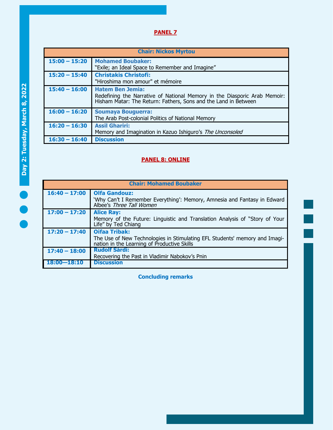# **PANEL 7**

| <b>Chair: Nickos Myrtou</b> |                                                                                                                                                                      |
|-----------------------------|----------------------------------------------------------------------------------------------------------------------------------------------------------------------|
| $15:00 - 15:20$             | <b>Mohamed Boubaker:</b><br>"Exile; an Ideal Space to Remember and Imagine"                                                                                          |
| $15:20 - 15:40$             | <b>Christakis Christofi:</b><br>"Hiroshima mon amour" et mémoire                                                                                                     |
| $15:40 - 16:00$             | <b>Hatem Ben Jemia:</b><br>Redefining the Narrative of National Memory in the Diasporic Arab Memoir: Hisham Matar: The Return: Fathers, Sons and the Land in Between |
| $16:00 - 16:20$             | <b>Soumaya Bouguerra:</b><br>The Arab Post-colonial Politics of National Memory                                                                                      |
| $16:20 - 16:30$             | <b>Assil Ghariri:</b><br>Memory and Imagination in Kazuo Ishiguro's The Unconsoled                                                                                   |
| $16:30 - 16:40$             | <b>Discussion</b>                                                                                                                                                    |

# **PANEL 8: ONLINE**

| <b>Chair: Mohamed Boubaker</b> |                                                                                                                                                   |
|--------------------------------|---------------------------------------------------------------------------------------------------------------------------------------------------|
| $16:40 - 17:00$                | <b>Olfa Gandouz:</b><br>'Why Can't I Remember Everything': Memory, Amnesia and Fantasy in Edward<br>Albee's Three Tall Women                      |
| $17:00 - 17:20$                | <b>Alice Ray:</b><br>Memory of the Future: Linguistic and Translation Analysis of "Story of Your<br>Life" by Ted Chiang                           |
| $17:20 - 17:40$                | <b>Oifaa Tribak:</b><br>The Use of New Technologies in Stimulating EFL Students' memory and Imagi-<br>nation in the Learning of Productive Skills |
| $17:40 - 18:00$                | <b>Rudolf Sárdi:</b><br>Recovering the Past in Vladimir Nabokov's Pnin                                                                            |
| $18:00 - 18:10$                | <b>Discussion</b>                                                                                                                                 |

**Concluding remarks**